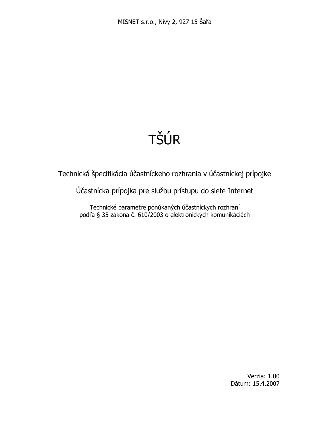# TŠÚR

Technická špecifikácia účastníckeho rozhrania v účastníckej prípojke

Účastnícka prípojka pre službu prístupu do siete Internet

Technické parametre ponúkaných účastníckych rozhraní podľa § 35 zákona č. 610/2003 o elektronických komunikáciách

> Verzia: 1.00 Dátum: 15.4.2007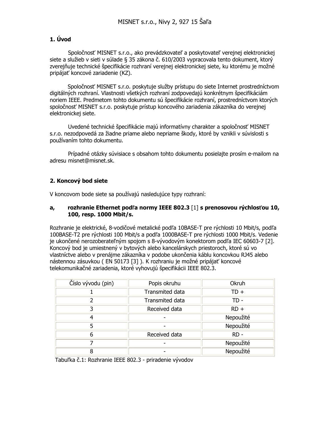## 1. Úvod

Spoločnosť MISNET s.r.o., ako prevádzkovateľ a poskytovateľ verejnej elektronickej siete a služieb v sieti v súlade § 35 zákona č. 610/2003 vvpracovala tento dokument. ktorý zverejňuje technické špecifikácie rozhraní verejnej elektronickej siete, ku ktorému je možné pripájať koncové zariadenie (KZ).

Spoločnosť MISNET s.r.o. poskytuje služby prístupu do siete Internet prostredníctvom digitálných rozhraní. Vlastnosti všetkých rozhraní zodpovedajú konkrétnym špecifikáciám noriem IEEE. Predmetom tohto dokumentu sú špecifikácie rozhraní, prostredníctvom ktorých spoločnosť MISNET s.r.o. poskytuje prístup koncového zariadenia zákazníka do verejnej elektronickej siete.

Uvedené technické špecifikácie majú informatívny charakter a spoločnosť MISNET s.r.o. nezodpovedá za žiadne priame alebo nepriame škody, ktoré by vznikli v súvislosti s používaním tohto dokumentu.

Prípadné otázky súvisiace s obsahom tohto dokumentu posielajte prosím e-mailom na adresu misnet@misnet.sk.

# 2. Koncový bod siete

V koncovom bode siete sa používajú nasledujúce typy rozhraní:

## rozhranie Ethernet podľa normy IEEE 802.3 [1] s prenosovou rýchlosťou 10,  $a_{r}$ 100, resp. 1000 Mbit/s.

Rozhranie je elektrické, 8-vodičové metalické podľa 10BASE-T pre rýchlosti 10 Mbit/s, podľa 100BASE-T2 pre rýchlosti 100 Mbit/s a podľa 1000BASE-T pre rýchlosti 1000 Mbit/s. Vedenie je ukončené nerozoberateľným spojom s 8-vývodovým konektorom podľa IEC 60603-7 [2]. Koncový bod je umiestnený v bytových alebo kancelárskych priestoroch, ktoré sú vo vlastníctve alebo v prenájme zákazníka v podobe ukončenia káblu koncovkou RJ45 alebo nástennou zásuvkou (EN 50173 [3]). K rozhraniu je možné pripájať koncové telekomunikačné zariadenia, ktoré vyhovujú špecifikácii IEEE 802.3.

| Číslo vývodu (pin) | Popis okruhu    | Okruh     |
|--------------------|-----------------|-----------|
|                    | Transmited data | TD +      |
|                    | Transmited data | TD -      |
| 3                  | Received data   | $RD +$    |
| 4                  |                 | Nepoužité |
| 5                  |                 | Nepoužité |
| 6                  | Received data   | $RD -$    |
|                    |                 | Nepoužité |
| 8                  |                 | Nepoužité |

Tabuľka č.1: Rozhranie IEEE 802.3 - priradenie vývodov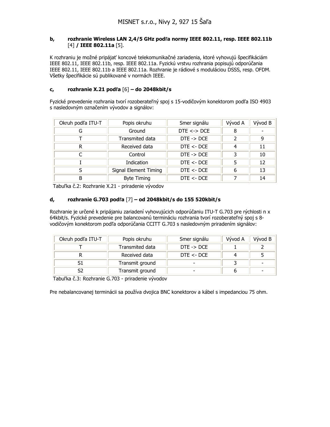### rozhranie Wireless LAN 2,4/5 GHz podľa normy IEEE 802.11, resp. IEEE 802.11b  $\mathbf{b}_{\mathbf{r}}$ [4] / **IEEE 802.11a** [5].

K rozhraniu je možné pripájať koncové telekomunikačné zariadenia, ktoré vyhovujú špecifikáciám IEEE 802.11, IEEE 802.11b, resp. IEEE 802.11a. Fyzickú vrstvu rozhrania popisujú odporúčania IEEE 802.11, IEEE 802.11b a IEEE 802.11a. Rozhranie je rádiové s moduláciou DSSS, resp. OFDM. Všetky špecifikácie sú publikované v normách IEEE.

#### rozhranie X.21 podľa  $[6]$  – do 2048kbit/s  $C_{I}$

Fyzické prevedenie rozhrania tvorí rozoberateľný spoj s 15-vodičovým konektorom podľa ISO 4903 s nasledovným označením vývodov a signálov:

| Okruh podľa ITU-T | Popis okruhu                 | Smer signálu          | Vývod A | Vývod B |
|-------------------|------------------------------|-----------------------|---------|---------|
| G                 | Ground                       | $DTE \leq DCE$        | 8       |         |
|                   | Transmited data              | $DTE \rightarrow DCE$ |         | 9       |
| R                 | Received data                | DTE < DCE             | 4       | 11      |
|                   | Control                      | $DTE \rightarrow DCE$ |         | 10      |
|                   | Indication                   | DTE < DCE             |         | 12      |
|                   | <b>Signal Element Timing</b> | DTE < DCE             |         | 13      |
| R                 | <b>Byte Timing</b>           | DTE < DCE             |         | 14      |

Tabuľka č.2: Rozhranie X.21 - priradenie vývodov

#### $\mathbf{d}_{\mathbf{r}}$ rozhranie G.703 podľa [7] - od 2048kbit/s do 155 520kbit/s

Rozhranie je určené k pripájaniu zariadení vyhovujúcich odporúčaniu ITU-T G.703 pre rýchlosti n x 64kbit/s. Fyzické prevedenie pre balancovanú termináciu rozhrania tvorí rozoberateľný spoj s 8vodičovým konektorom podľa odporúčania CCITT G.703 s nasledovným priradením signálov:

| Okruh podľa ITU-T | Popis okruhu    | Smer signálu             | Vývod A | Vývod B |
|-------------------|-----------------|--------------------------|---------|---------|
|                   | Transmited data | $DTE \rightarrow DCE$    |         |         |
|                   | Received data   | DTE < DCE                |         |         |
|                   | Transmit ground | $\overline{\phantom{a}}$ |         |         |
|                   | Transmit ground | -                        |         |         |

Tabuľka č.3: Rozhranie G.703 - priradenie vývodov

Pre nebalancovanej terminácii sa používa dvojica BNC konektorov a kábel s impedanciou 75 ohm.